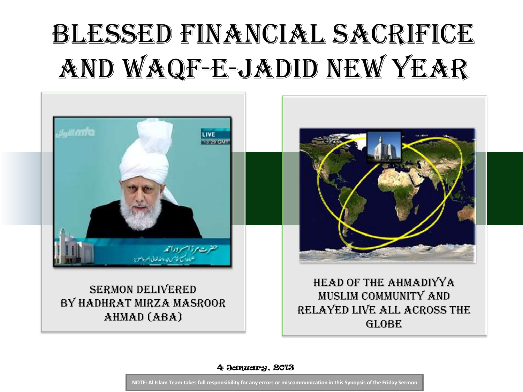# Blessed Financial Sacrifice and Waqf-e-Jadid New Year



4 January, 2013

**NOTE: Al Islam Team takes full responsibility for any errors or miscommunication in this Synopsis of the Friday Sermon**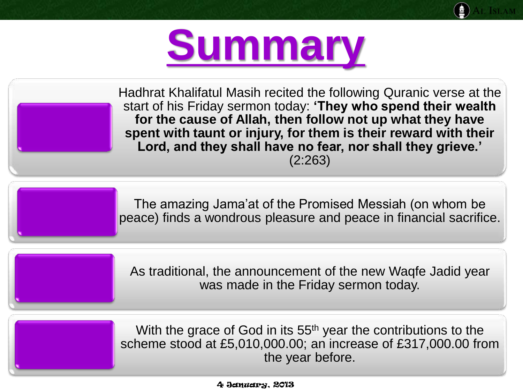

Hadhrat Khalifatul Masih recited the following Quranic verse at the start of his Friday sermon today: **'They who spend their wealth for the cause of Allah, then follow not up what they have spent with taunt or injury, for them is their reward with their Lord, and they shall have no fear, nor shall they grieve.'**

(2:263)

The amazing Jama'at of the Promised Messiah (on whom be peace) finds a wondrous pleasure and peace in financial sacrifice.

As traditional, the announcement of the new Waqfe Jadid year was made in the Friday sermon today.

With the grace of God in its 55<sup>th</sup> year the contributions to the scheme stood at £5,010,000.00; an increase of £317,000.00 from the year before.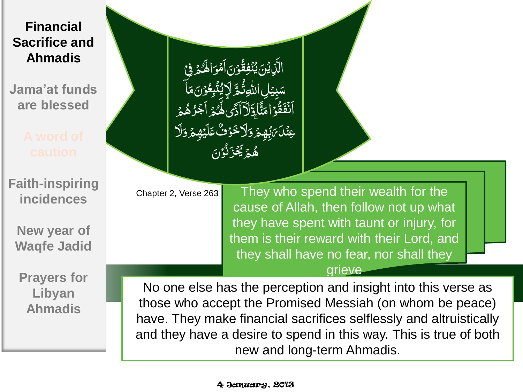**Jama'at funds are blessed**

**Faith-inspiring incidences**

**New year of Waqfe Jadid**

**Prayers for Libyan Ahmadis**

)<br>آ ِِف ر<br>گر م <u>ُ</u> الِمُ ِرُ<br>ِ و نم<br>م اَّم ن<br>م ن ر<br>ر و ُ<br>و و<br>ق فِ ئ<br>. بدو  $\frac{1}{2}$ ي  $\frac{1}{2}$ ْن َِّذي  $\tilde{\zeta}$ ال اۤ ِّسَبِيۡلِ اللّٰہِ ثُنَّہِ لَا يُنۡبِعُوۡنَ مَٰ<br>پِسۡ مِنۡلَہِ ہِ سَبِیۡ م ن ر<br>ما و <u>ُ</u> بِع ا<br>أ ت ر<br>تە ِ<br>پاکورو ة پُم<br>نگر ِلا ىدى<br>س ِبي سک تر<br>مر ؾَّاوَّلَاۤاَذَىۚهِ مَّدَ اَجۡرُهُمۡ **غ** ر<br>ر ر<br>م ُ<br>ِ ز<br>ا م<br>م أَنْفَقُوْاًءَ ر<br>ا ان<br>ا ََّل َّ وَلَا خَوْفٌ عَلَيْهِمْ وَ<br>حَمَدُهُ ر<br>م بُ<br>ا و ۚ ِِهم گر<br>م ڏ<br>ح با<br>يول عِنً**لَ** مَ نَ ن ا<br>ا و  $\ddot{\phantom{0}}$ ن نی<br>نما ْز ِ<br>پچ ر<br>م م **ه** ه

Chapter 2, Verse 263

They who spend their wealth for the cause of Allah, then follow not up what they have spent with taunt or injury, for them is their reward with their Lord, and they shall have no fear, nor shall they

#### grieve

No one else has the perception and insight into this verse as those who accept the Promised Messiah (on whom be peace) have. They make financial sacrifices selflessly and altruistically and they have a desire to spend in this way. This is true of both new and long-term Ahmadis.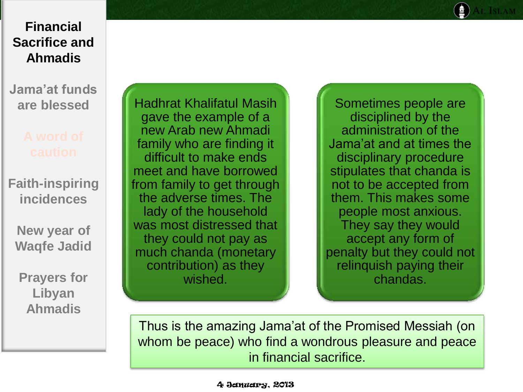**Jama'at funds are blessed**

**Faith-inspiring incidences**

**New year of Waqfe Jadid**

**Prayers for Libyan Ahmadis**

Hadhrat Khalifatul Masih gave the example of a new Arab new Ahmadi family who are finding it difficult to make ends meet and have borrowed from family to get through the adverse times. The lady of the household was most distressed that they could not pay as much chanda (monetary contribution) as they wished.

Sometimes people are disciplined by the administration of the Jama'at and at times the disciplinary procedure stipulates that chanda is not to be accepted from them. This makes some people most anxious. They say they would accept any form of penalty but they could not relinquish paying their chandas.

Thus is the amazing Jama'at of the Promised Messiah (on whom be peace) who find a wondrous pleasure and peace in financial sacrifice.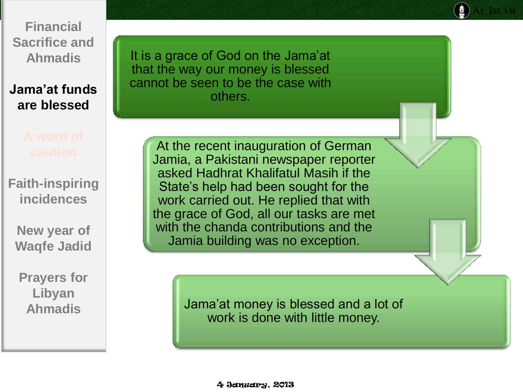**Jama'at funds are blessed**

**Faith-inspiring incidences**

**New year of Waqfe Jadid**

**Prayers for Libyan Ahmadis**

It is a grace of God on the Jama'at that the way our money is blessed cannot be seen to be the case with others.

> At the recent inauguration of German Jamia, a Pakistani newspaper reporter asked Hadhrat Khalifatul Masih if the State's help had been sought for the work carried out. He replied that with the grace of God, all our tasks are met with the chanda contributions and the Jamia building was no exception.

> > Jama'at money is blessed and a lot of work is done with little money.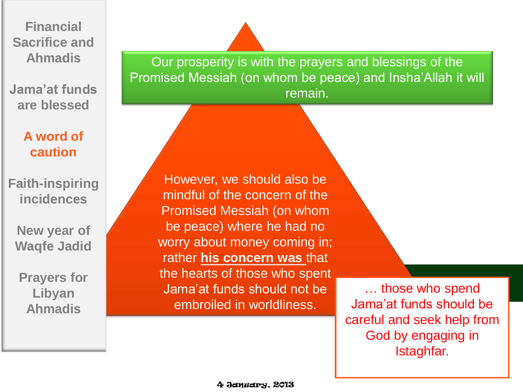**Jama'at funds are blessed**

### **A word of caution**

**Faith-inspiring incidences**

**New year of Waqfe Jadid**

**Prayers for Libyan Ahmadis**

Our prosperity is with the prayers and blessings of the Promised Messiah (on whom be peace) and Insha'Allah it will remain.

However, we should also be mindful of the concern of the Promised Messiah (on whom be peace) where he had no worry about money coming in; rather **his concern was** that the hearts of those who spent Jama'at funds should not be embroiled in worldliness.

… those who spend Jama'at funds should be careful and seek help from God by engaging in Istaghfar.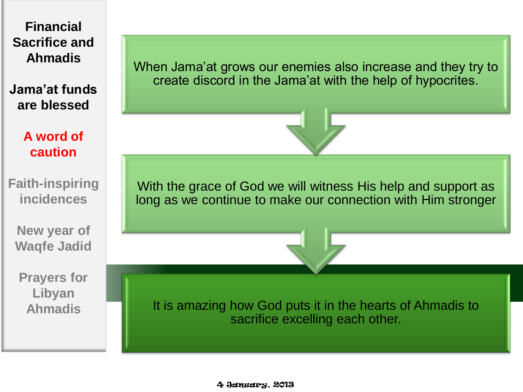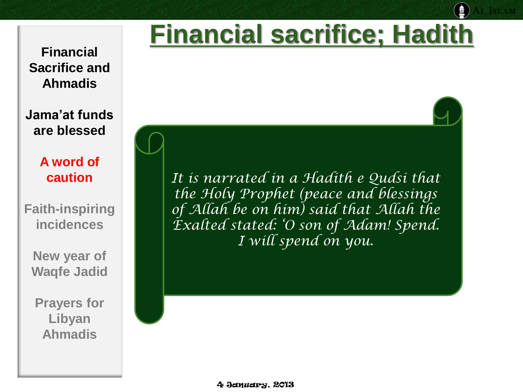# **Financial sacrifice; Hadith**

**Financial Sacrifice and Ahmadis**

**Jama'at funds are blessed**

> **A word of caution**

**Faith-inspiring incidences**

**New year of Waqfe Jadid**

**Prayers for Libyan Ahmadis**

*It is narrated in a Hadith e Qudsi that the Holy Prophet (peace and blessings of Allah be on him) said that Allah the Exalted stated: 'O son of Adam! Spend. I will spend on you.*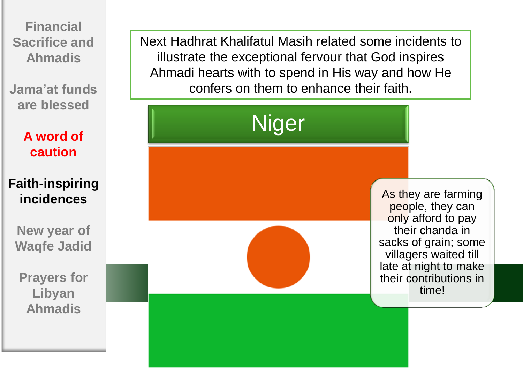**Jama'at funds are blessed**

> **A word of caution**

### **Faith-inspiring incidences**

**New year of Waqfe Jadid**

**Prayers for Libyan Ahmadis**

Next Hadhrat Khalifatul Masih related some incidents to illustrate the exceptional fervour that God inspires Ahmadi hearts with to spend in His way and how He confers on them to enhance their faith.

Niger

As they are farming people, they can only afford to pay their chanda in sacks of grain; some villagers waited till late at night to make their contributions in time!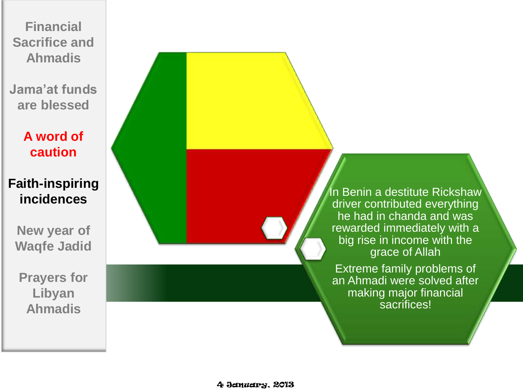**Jama'at funds are blessed**

> **A word of caution**

### **Faith-inspiring incidences**

**New year of Waqfe Jadid**

**Prayers for Libyan Ahmadis**

In Benin a destitute Rickshaw driver contributed everything he had in chanda and was rewarded immediately with a big rise in income with the grace of Allah

Extreme family problems of an Ahmadi were solved after making major financial sacrifices!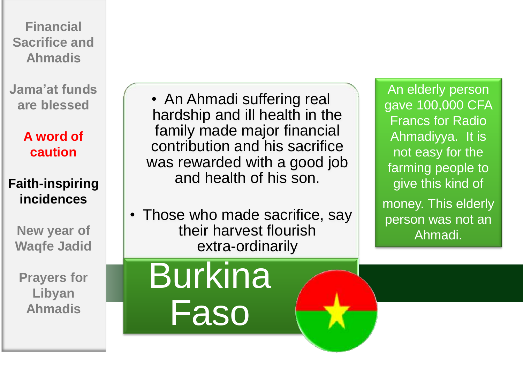**Jama'at funds are blessed**

> **A word of caution**

### **Faith-inspiring incidences**

**New year of Waqfe Jadid**

**Prayers for Libyan Ahmadis**

• An Ahmadi suffering real hardship and ill health in the family made major financial contribution and his sacrifice was rewarded with a good job and health of his son.

• Those who made sacrifice, say their harvest flourish extra-ordinarily

An elderly person gave 100,000 CFA Francs for Radio Ahmadiyya. It is not easy for the farming people to give this kind of money. This elderly person was not an Ahmadi.

# **Burkina** Faso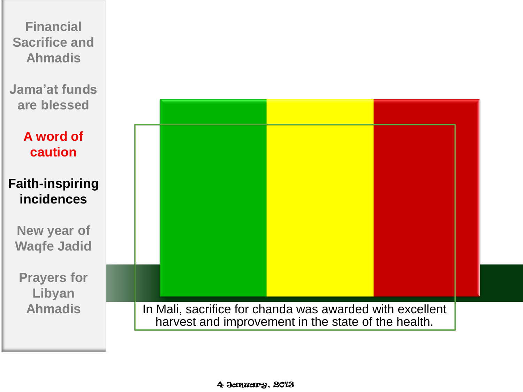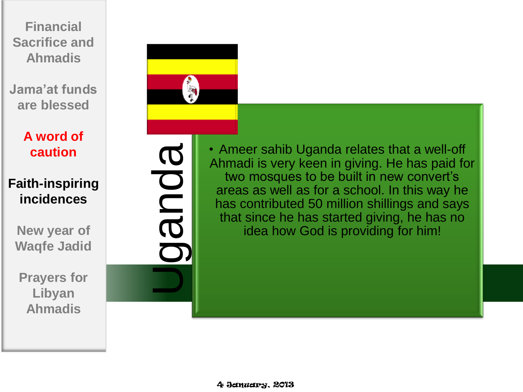**Jama'at funds are blessed**

> **A word of caution**

**Faith-inspiring incidences**

**New year of Waqfe Jadid**

**Prayers for Libyan Ahmadis**



**BDUB** 

• Ameer sahib Uganda relates that a well-off Ahmadi is very keen in giving. He has paid for two mosques to be built in new convert's areas as well as for a school. In this way he has contributed 50 million shillings and says that since he has started giving, he has no idea how God is providing for him!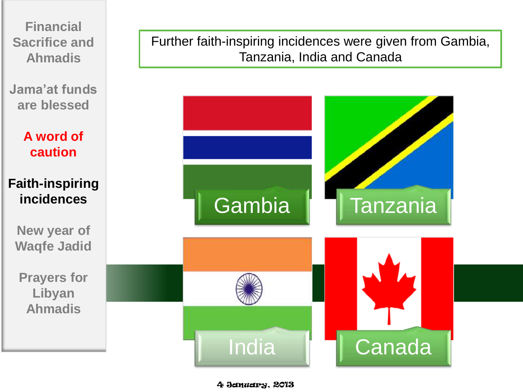

**Jama'at funds are blessed**

> **A word of caution**

### **Faith-inspiring incidences**

**New year of Waqfe Jadid**

**Prayers for Libyan Ahmadis**

Further faith-inspiring incidences were given from Gambia, Tanzania, India and Canada



4 January, 2013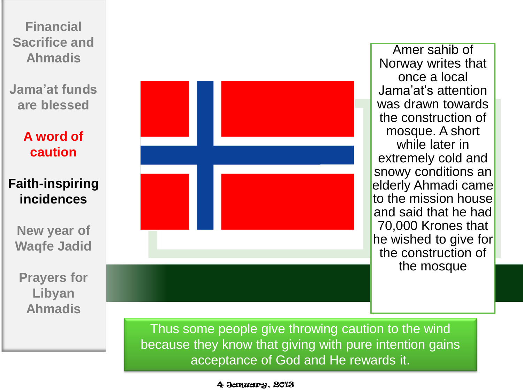

Amer sahib of Norway writes that once a local Jama'at's attention was drawn towards the construction of mosque. A short while later in extremely cold and snowy conditions an elderly Ahmadi came to the mission house and said that he had 70,000 Krones that he wished to give for the construction of the mosque

Thus some people give throwing caution to the wind because they know that giving with pure intention gains acceptance of God and He rewards it.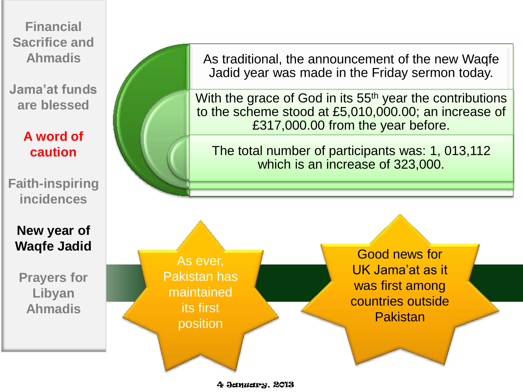**Jama'at funds are blessed**

### **A word of caution**

**Faith-inspiring incidences**

**New year of Waqfe Jadid**

**Prayers for Libyan Ahmadis**

As traditional, the announcement of the new Waqfe Jadid year was made in the Friday sermon today.

With the grace of God in its 55<sup>th</sup> year the contributions to the scheme stood at £5,010,000.00; an increase of £317,000.00 from the year before.

The total number of participants was: 1, 013,112 which is an increase of 323,000.

As ever, Pakistan has maintained its first position

Good news for UK Jama'at as it was first among countries outside Pakistan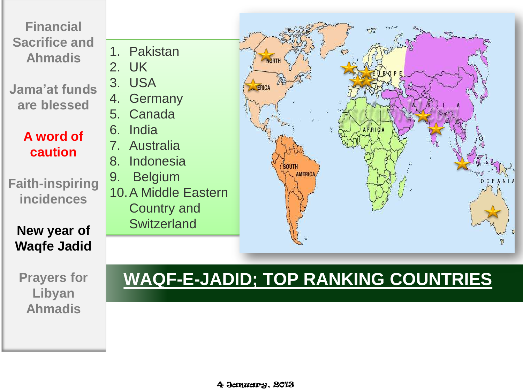**Jama'at funds are blessed**

### **A word of caution**

**Faith-inspiring incidences**

**New year of Waqfe Jadid**

**Prayers for Libyan Ahmadis**





## **WAQF-E-JADID; TOP RANKING COUNTRIES**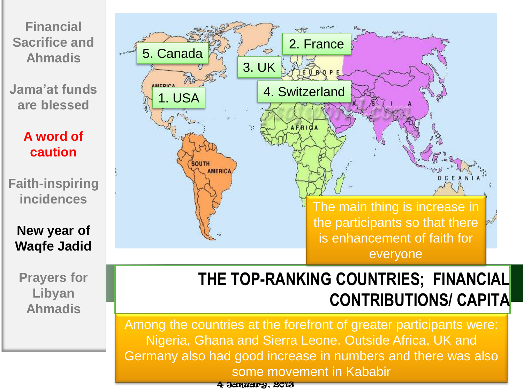**Jama'at funds are blessed**

> **A word of caution**

**Faith-inspiring incidences**

**New year of Waqfe Jadid**

**Prayers for Libyan Ahmadis**



## **THE TOP-RANKING COUNTRIES; FINANCIAL CONTRIBUTIONS/ CAPITA**

Among the countries at the forefront of greater participants were: Nigeria, Ghana and Sierra Leone. Outside Africa, UK and Germany also had good increase in numbers and there was also some movement in Kababir

4 January, 2013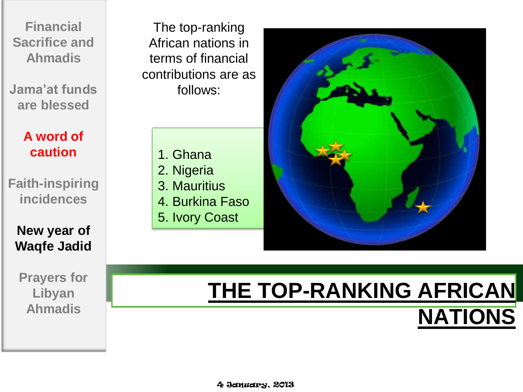**Jama'at funds are blessed**

> **A word of caution**

**Faith-inspiring incidences**

**New year of Waqfe Jadid**

**Prayers for Libyan Ahmadis**

The top-ranking African nations in terms of financial contributions are as follows:

> 1. Ghana 2. Nigeria

- 3. Mauritius
- 4. Burkina Faso
- 5. Ivory Coast



## **THE TOP-RANKING AFRICAN NATIONS**